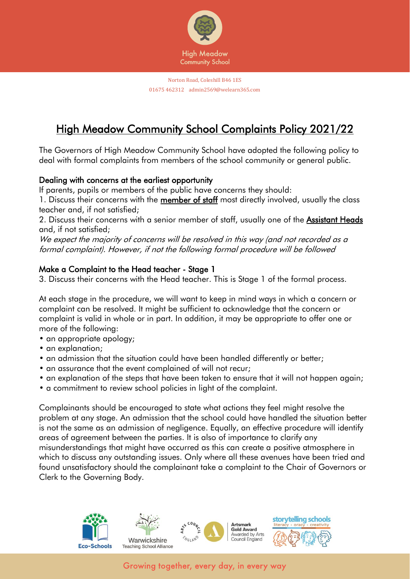

# High Meadow Community School Complaints Policy 2021/22

The Governors of High Meadow Community School have adopted the following policy to deal with formal complaints from members of the school community or general public.

# Dealing with concerns at the earliest opportunity

If parents, pupils or members of the public have concerns they should:

1. Discuss their concerns with the member of staff most directly involved, usually the class teacher and, if not satisfied;

2. Discuss their concerns with a senior member of staff, usually one of the Assistant Heads and, if not satisfied;

We expect the majority of concerns will be resolved in this way (and not recorded as a formal complaint). However, if not the following formal procedure will be followed

## Make a Complaint to the Head teacher - Stage 1

3. Discuss their concerns with the Head teacher. This is Stage 1 of the formal process.

At each stage in the procedure, we will want to keep in mind ways in which a concern or complaint can be resolved. It might be sufficient to acknowledge that the concern or complaint is valid in whole or in part. In addition, it may be appropriate to offer one or more of the following:

- an appropriate apology;
- an explanation;
- an admission that the situation could have been handled differently or better;
- an assurance that the event complained of will not recur;
- an explanation of the steps that have been taken to ensure that it will not happen again;
- a commitment to review school policies in light of the complaint.

Complainants should be encouraged to state what actions they feel might resolve the problem at any stage. An admission that the school could have handled the situation better is not the same as an admission of negligence. Equally, an effective procedure will identify areas of agreement between the parties. It is also of importance to clarify any misunderstandings that might have occurred as this can create a positive atmosphere in which to discuss any outstanding issues. Only where all these avenues have been tried and found unsatisfactory should the complainant take a complaint to the Chair of Governors or Clerk to the Governing Body.

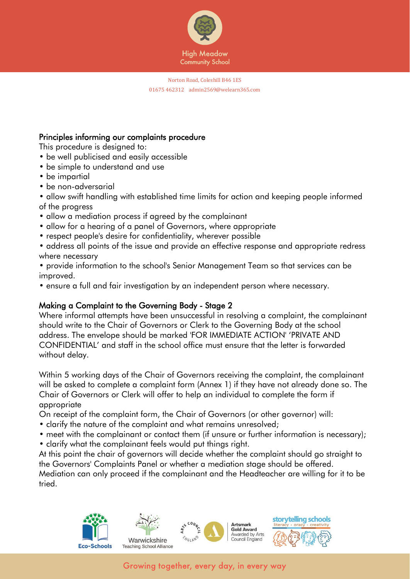

## Principles informing our complaints procedure

This procedure is designed to:

- be well publicised and easily accessible
- be simple to understand and use
- be impartial
- be non-adversarial

• allow swift handling with established time limits for action and keeping people informed of the progress

- allow a mediation process if agreed by the complainant
- allow for a hearing of a panel of Governors, where appropriate
- respect people's desire for confidentiality, wherever possible
- address all points of the issue and provide an effective response and appropriate redress where necessary
- provide information to the school's Senior Management Team so that services can be improved.
- ensure a full and fair investigation by an independent person where necessary.

# Making a Complaint to the Governing Body - Stage 2

Where informal attempts have been unsuccessful in resolving a complaint, the complainant should write to the Chair of Governors or Clerk to the Governing Body at the school address. The envelope should be marked 'FOR IMMEDIATE ACTION' 'PRIVATE AND CONFIDENTIAL' and staff in the school office must ensure that the letter is forwarded without delay.

Within 5 working days of the Chair of Governors receiving the complaint, the complainant will be asked to complete a complaint form (Annex 1) if they have not already done so. The Chair of Governors or Clerk will offer to help an individual to complete the form if appropriate

On receipt of the complaint form, the Chair of Governors (or other governor) will:

- clarify the nature of the complaint and what remains unresolved;
- meet with the complainant or contact them (if unsure or further information is necessary);
- clarify what the complainant feels would put things right.

At this point the chair of governors will decide whether the complaint should go straight to the Governors' Complaints Panel or whether a mediation stage should be offered.

Mediation can only proceed if the complainant and the Headteacher are willing for it to be tried.







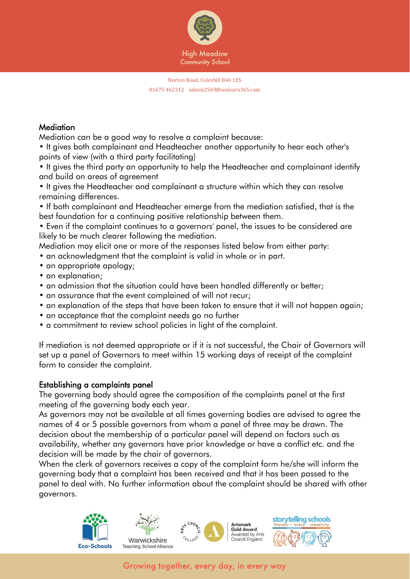

## **Mediation**

Mediation can be a good way to resolve a complaint because:

• It gives both complainant and Headteacher another opportunity to hear each other's points of view (with a third party facilitating)

• It gives the third party an opportunity to help the Headteacher and complainant identify and build on areas of agreement

• It gives the Headteacher and complainant a structure within which they can resolve remaining differences.

• If both complainant and Headteacher emerge from the mediation satisfied, that is the best foundation for a continuing positive relationship between them.

• Even if the complaint continues to a governors' panel, the issues to be considered are likely to be much clearer following the mediation.

Mediation may elicit one or more of the responses listed below from either party:

- an acknowledgment that the complaint is valid in whole or in part.
- an appropriate apology;
- an explanation:
- an admission that the situation could have been handled differently or better;
- an assurance that the event complained of will not recur;
- an explanation of the steps that have been taken to ensure that it will not happen again;
- an acceptance that the complaint needs go no further
- a commitment to review school policies in light of the complaint.

If mediation is not deemed appropriate or if it is not successful, the Chair of Governors will set up a panel of Governors to meet within 15 working days of receipt of the complaint form to consider the complaint.

## Establishing a complaints panel

The governing body should agree the composition of the complaints panel at the first meeting of the governing body each year.

As governors may not be available at all times governing bodies are advised to agree the names of 4 or 5 possible governors from whom a panel of three may be drawn. The decision about the membership of a particular panel will depend on factors such as availability, whether any governors have prior knowledge or have a conflict etc. and the decision will be made by the chair of governors.

When the clerk of governors receives a copy of the complaint form he/she will inform the governing body that a complaint has been received and that it has been passed to the panel to deal with. No further information about the complaint should be shared with other governors.

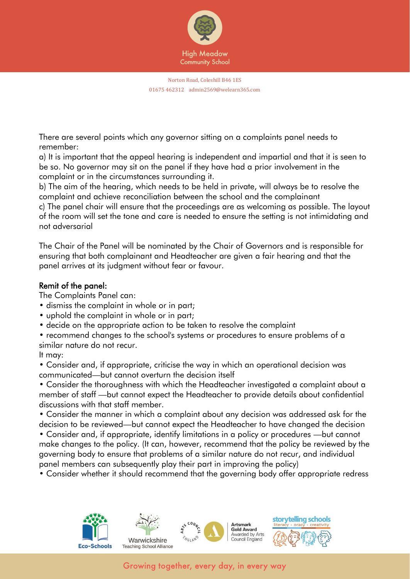

There are several points which any governor sitting on a complaints panel needs to remember:

a) It is important that the appeal hearing is independent and impartial and that it is seen to be so. No governor may sit on the panel if they have had a prior involvement in the complaint or in the circumstances surrounding it.

b) The aim of the hearing, which needs to be held in private, will always be to resolve the complaint and achieve reconciliation between the school and the complainant

c) The panel chair will ensure that the proceedings are as welcoming as possible. The layout of the room will set the tone and care is needed to ensure the setting is not intimidating and not adversarial

The Chair of the Panel will be nominated by the Chair of Governors and is responsible for ensuring that both complainant and Headteacher are given a fair hearing and that the panel arrives at its judgment without fear or favour.

# Remit of the panel:

The Complaints Panel can:

- dismiss the complaint in whole or in part;
- uphold the complaint in whole or in part;
- decide on the appropriate action to be taken to resolve the complaint

• recommend changes to the school's systems or procedures to ensure problems of a similar nature do not recur.

It may:

• Consider and, if appropriate, criticise the way in which an operational decision was communicated—but cannot overturn the decision itself

• Consider the thoroughness with which the Headteacher investigated a complaint about a member of staff —but cannot expect the Headteacher to provide details about confidential discussions with that staff member.

• Consider the manner in which a complaint about any decision was addressed ask for the decision to be reviewed—but cannot expect the Headteacher to have changed the decision

• Consider and, if appropriate, identify limitations in a policy or procedures —but cannot make changes to the policy. (It can, however, recommend that the policy be reviewed by the governing body to ensure that problems of a similar nature do not recur, and individual panel members can subsequently play their part in improving the policy)

• Consider whether it should recommend that the governing body offer appropriate redress

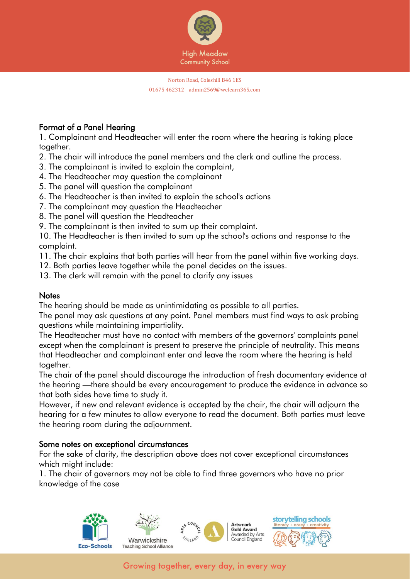

# Format of a Panel Hearing

1. Complainant and Headteacher will enter the room where the hearing is taking place together.

- 2. The chair will introduce the panel members and the clerk and outline the process.
- 3. The complainant is invited to explain the complaint,
- 4. The Headteacher may question the complainant
- 5. The panel will question the complainant
- 6. The Headteacher is then invited to explain the school's actions
- 7. The complainant may question the Headteacher
- 8. The panel will question the Headteacher
- 9. The complainant is then invited to sum up their complaint.

10. The Headteacher is then invited to sum up the school's actions and response to the complaint.

- 11. The chair explains that both parties will hear from the panel within five working days.
- 12. Both parties leave together while the panel decides on the issues.
- 13. The clerk will remain with the panel to clarify any issues

# **Notes**

The hearing should be made as unintimidating as possible to all parties.

The panel may ask questions at any point. Panel members must find ways to ask probing questions while maintaining impartiality.

The Headteacher must have no contact with members of the governors' complaints panel except when the complainant is present to preserve the principle of neutrality. This means that Headteacher and complainant enter and leave the room where the hearing is held together.

The chair of the panel should discourage the introduction of fresh documentary evidence at the hearing —there should be every encouragement to produce the evidence in advance so that both sides have time to study it.

However, if new and relevant evidence is accepted by the chair, the chair will adjourn the hearing for a few minutes to allow everyone to read the document. Both parties must leave the hearing room during the adjournment.

# Some notes on exceptional circumstances

For the sake of clarity, the description above does not cover exceptional circumstances which might include:

1. The chair of governors may not be able to find three governors who have no prior knowledge of the case

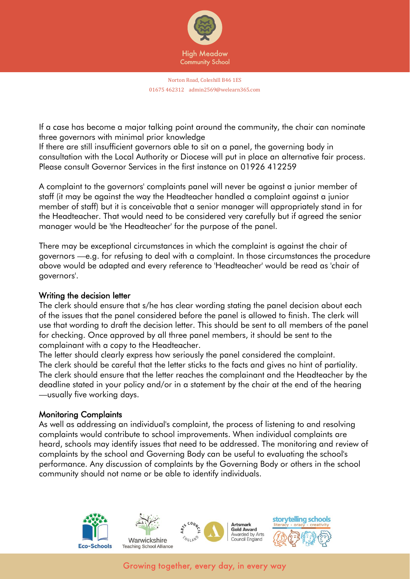

If a case has become a major talking point around the community, the chair can nominate three governors with minimal prior knowledge

If there are still insufficient governors able to sit on a panel, the governing body in consultation with the Local Authority or Diocese will put in place an alternative fair process. Please consult Governor Services in the first instance on 01926 412259

A complaint to the governors' complaints panel will never be against a junior member of staff (it may be against the way the Headteacher handled a complaint against a junior member of staff) but it is conceivable that a senior manager will appropriately stand in for the Headteacher. That would need to be considered very carefully but if agreed the senior manager would be 'the Headteacher' for the purpose of the panel.

There may be exceptional circumstances in which the complaint is against the chair of governors —e.g. for refusing to deal with a complaint. In those circumstances the procedure above would be adapted and every reference to 'Headteacher' would be read as 'chair of governors'.

## Writing the decision letter

The clerk should ensure that s/he has clear wording stating the panel decision about each of the issues that the panel considered before the panel is allowed to finish. The clerk will use that wording to draft the decision letter. This should be sent to all members of the panel for checking. Once approved by all three panel members, it should be sent to the complainant with a copy to the Headteacher.

The letter should clearly express how seriously the panel considered the complaint. The clerk should be careful that the letter sticks to the facts and gives no hint of partiality. The clerk should ensure that the letter reaches the complainant and the Headteacher by the deadline stated in your policy and/or in a statement by the chair at the end of the hearing —usually five working days.

## Monitoring Complaints

As well as addressing an individual's complaint, the process of listening to and resolving complaints would contribute to school improvements. When individual complaints are heard, schools may identify issues that need to be addressed. The monitoring and review of complaints by the school and Governing Body can be useful to evaluating the school's performance. Any discussion of complaints by the Governing Body or others in the school community should not name or be able to identify individuals.